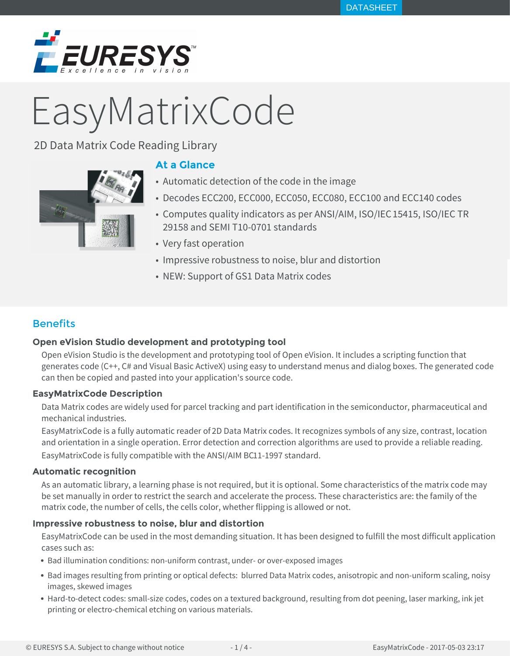

# EasyMatrixCode

2D Data Matrix Code Reading Library



# **At a Glance**

- Automatic detection of the code in the image
- ș Decodes ECC200, ECC000, ECC050, ECC080, ECC100 and ECC140 codes
- ș Computes quality indicators as per ANSI/AIM, ISO/IEC 15415, ISO/IEC TR 29158 and SEMI T10-0701 standards
- Very fast operation
- Impressive robustness to noise, blur and distortion
- NEW: Support of GS1 Data Matrix codes

# **Benefits**

# **Open eVision Studio development and prototyping tool**

Open eVision Studio is the development and prototyping tool of Open eVision. It includes a scripting function that generates code (C++, C# and Visual Basic ActiveX) using easy to understand menus and dialog boxes. The generated code can then be copied and pasted into your application's source code.

# **EasyMatrixCode Description**

Data Matrix codes are widely used for parcel tracking and part identification in the semiconductor, pharmaceutical and mechanical industries.

EasyMatrixCode is a fully automatic reader of 2D Data Matrix codes. It recognizes symbols of any size, contrast, location and orientation in a single operation. Error detection and correction algorithms are used to provide a reliable reading. EasyMatrixCode is fully compatible with the ANSI/AIM BC11-1997 standard.

# **Automatic recognition**

As an automatic library, a learning phase is not required, but it is optional. Some characteristics of the matrix code may be set manually in order to restrict the search and accelerate the process. These characteristics are: the family of the matrix code, the number of cells, the cells color, whether flipping is allowed or not.

# **Impressive robustness to noise, blur and distortion**

EasyMatrixCode can be used in the most demanding situation. It has been designed to fulfill the most difficult application cases such as:

- Bad illumination conditions: non-uniform contrast, under- or over-exposed images
- Bad images resulting from printing or optical defects: blurred Data Matrix codes, anisotropic and non-uniform scaling, noisy images, skewed images
- Hard-to-detect codes: small-size codes, codes on a textured background, resulting from dot peening, laser marking, ink jet printing or electro-chemical etching on various materials.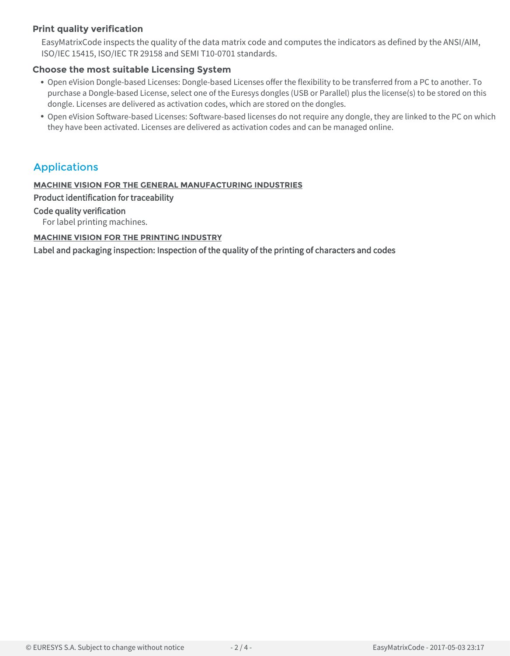# **Print quality verification**

EasyMatrixCode inspects the quality of the data matrix code and computes the indicators as defined by the ANSI/AIM, ISO/IEC 15415, ISO/IEC TR 29158 and SEMI T10-0701 standards.

## **Choose the most suitable Licensing System**

- Open eVision Dongle-based Licenses: Dongle-based Licenses offer the flexibility to be transferred from a PC to another. To purchase a Dongle-based License, select one of the Euresys dongles (USB or Parallel) plus the license(s) to be stored on this dongle. Licenses are delivered as activation codes, which are stored on the dongles.
- Open eVision Software-based Licenses: Software-based licenses do not require any dongle, they are linked to the PC on which they have been activated. Licenses are delivered as activation codes and can be managed online.

# Applications

## **MACHINE VISION FOR THE GENERAL MANUFACTURING INDUSTRIES**

#### Product identification for traceability

#### Code quality verification

For label printing machines.

#### **MACHINE VISION FOR THE PRINTING INDUSTRY**

Label and packaging inspection: Inspection of the quality of the printing of characters and codes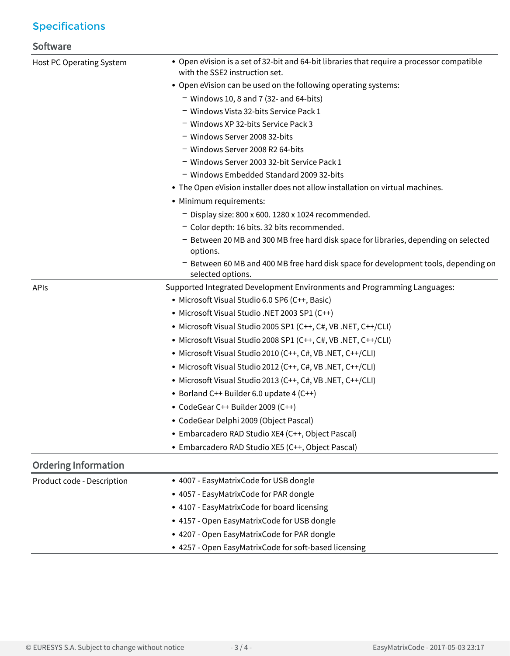# Specifications

| Software |  |
|----------|--|

| Host PC Operating System    | • Open eVision is a set of 32-bit and 64-bit libraries that require a processor compatible<br>with the SSE2 instruction set. |
|-----------------------------|------------------------------------------------------------------------------------------------------------------------------|
|                             | • Open eVision can be used on the following operating systems:                                                               |
|                             | $-$ Windows 10, 8 and 7 (32- and 64-bits)                                                                                    |
|                             | - Windows Vista 32-bits Service Pack 1                                                                                       |
|                             | - Windows XP 32-bits Service Pack 3                                                                                          |
|                             | - Windows Server 2008 32-bits                                                                                                |
|                             | - Windows Server 2008 R2 64-bits                                                                                             |
|                             | - Windows Server 2003 32-bit Service Pack 1                                                                                  |
|                             | - Windows Embedded Standard 2009 32-bits                                                                                     |
|                             | • The Open eVision installer does not allow installation on virtual machines.                                                |
|                             | • Minimum requirements:                                                                                                      |
|                             | $-$ Display size: 800 x 600. 1280 x 1024 recommended.                                                                        |
|                             | - Color depth: 16 bits. 32 bits recommended.                                                                                 |
|                             | - Between 20 MB and 300 MB free hard disk space for libraries, depending on selected<br>options.                             |
|                             | - Between 60 MB and 400 MB free hard disk space for development tools, depending on<br>selected options.                     |
| <b>APIs</b>                 | Supported Integrated Development Environments and Programming Languages:                                                     |
|                             | · Microsoft Visual Studio 6.0 SP6 (C++, Basic)                                                                               |
|                             | • Microsoft Visual Studio .NET 2003 SP1 (C++)                                                                                |
|                             | • Microsoft Visual Studio 2005 SP1 (C++, C#, VB .NET, C++/CLI)                                                               |
|                             | • Microsoft Visual Studio 2008 SP1 (C++, C#, VB .NET, C++/CLI)                                                               |
|                             | • Microsoft Visual Studio 2010 (C++, C#, VB .NET, C++/CLI)                                                                   |
|                             | • Microsoft Visual Studio 2012 (C++, C#, VB .NET, C++/CLI)                                                                   |
|                             | • Microsoft Visual Studio 2013 (C++, C#, VB .NET, C++/CLI)                                                                   |
|                             | • Borland C++ Builder 6.0 update 4 (C++)                                                                                     |
|                             | • CodeGear C++ Builder 2009 (C++)                                                                                            |
|                             | • CodeGear Delphi 2009 (Object Pascal)                                                                                       |
|                             | • Embarcadero RAD Studio XE4 (C++, Object Pascal)                                                                            |
|                             | • Embarcadero RAD Studio XE5 (C++, Object Pascal)                                                                            |
| <b>Ordering Information</b> |                                                                                                                              |
| Product code - Description  | • 4007 - EasyMatrixCode for USB dongle                                                                                       |
|                             | • 4057 - EasyMatrixCode for PAR dongle                                                                                       |
|                             | • 4107 - EasyMatrixCode for board licensing                                                                                  |
|                             | • 4157 - Open EasyMatrixCode for USB dongle                                                                                  |
|                             | • 4207 - Open EasyMatrixCode for PAR dongle                                                                                  |
|                             | • 4257 - Open EasyMatrixCode for soft-based licensing                                                                        |